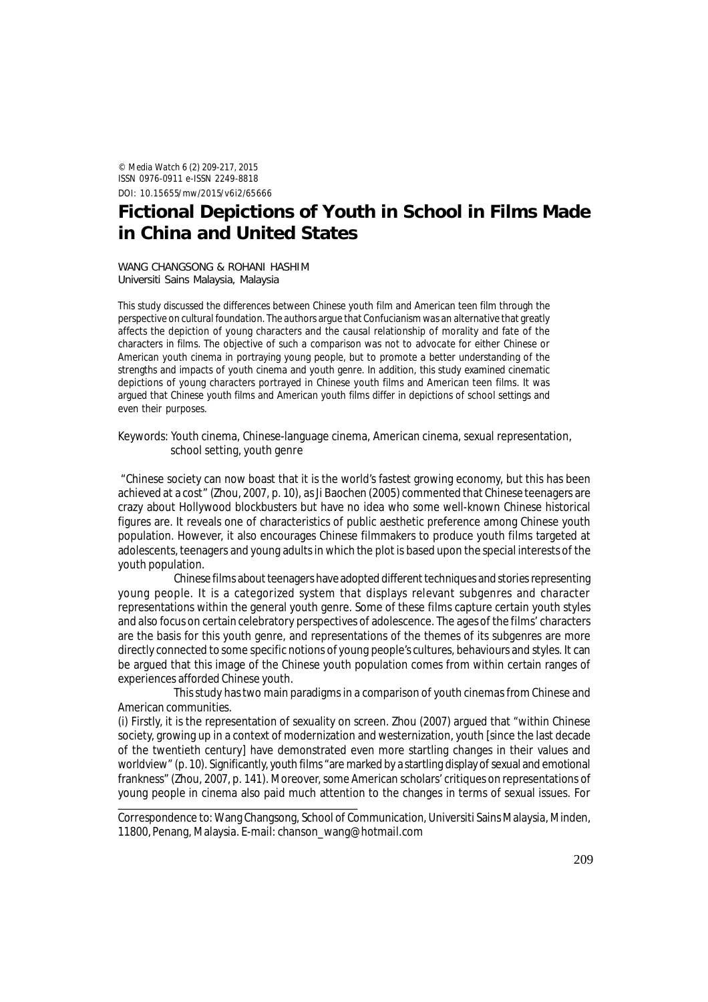© *Media Watch* 6 (2) 209-217, 2015 ISSN 0976-0911 e-ISSN 2249-8818 DOI: 10.15655/mw/2015/v6i2/65666

# **Fictional Depictions of Youth in School in Films Made in China and United States**

WANG CHANGSONG & ROHANI HASHIM Universiti Sains Malaysia, Malaysia

This study discussed the differences between Chinese youth film and American teen film through the perspective on cultural foundation. The authors argue that Confucianism was an alternative that greatly affects the depiction of young characters and the causal relationship of morality and fate of the characters in films. The objective of such a comparison was not to advocate for either Chinese or American youth cinema in portraying young people, but to promote a better understanding of the strengths and impacts of youth cinema and youth genre. In addition, this study examined cinematic depictions of young characters portrayed in Chinese youth films and American teen films. It was argued that Chinese youth films and American youth films differ in depictions of school settings and even their purposes.

Keywords: Youth cinema, Chinese-language cinema, American cinema, sexual representation, school setting, youth genre

 "Chinese society can now boast that it is the world's fastest growing economy, but this has been achieved at a cost" (Zhou, 2007, p. 10), as Ji Baochen (2005) commented that Chinese teenagers are crazy about Hollywood blockbusters but have no idea who some well-known Chinese historical figures are. It reveals one of characteristics of public aesthetic preference among Chinese youth population. However, it also encourages Chinese filmmakers to produce youth films targeted at adolescents, teenagers and young adults in which the plot is based upon the special interests of the youth population.

Chinese films about teenagers have adopted different techniques and stories representing young people. It is a categorized system that displays relevant subgenres and character representations within the general youth genre. Some of these films capture certain youth styles and also focus on certain celebratory perspectives of adolescence. The ages of the films' characters are the basis for this youth genre, and representations of the themes of its subgenres are more directly connected to some specific notions of young people's cultures, behaviours and styles. It can be argued that this image of the Chinese youth population comes from within certain ranges of experiences afforded Chinese youth.

This study has two main paradigms in a comparison of youth cinemas from Chinese and American communities.

(i) Firstly, it is the representation of sexuality on screen. Zhou (2007) argued that "within Chinese society, growing up in a context of modernization and westernization, youth [since the last decade of the twentieth century] have demonstrated even more startling changes in their values and worldview" (p. 10). Significantly, youth films "are marked by a startling display of sexual and emotional frankness" (Zhou, 2007, p. 141). Moreover, some American scholars' critiques on representations of young people in cinema also paid much attention to the changes in terms of sexual issues. For

Correspondence to: Wang Changsong, School of Communication, Universiti Sains Malaysia, Minden, 11800, Penang, Malaysia. E-mail: chanson\_wang@hotmail.com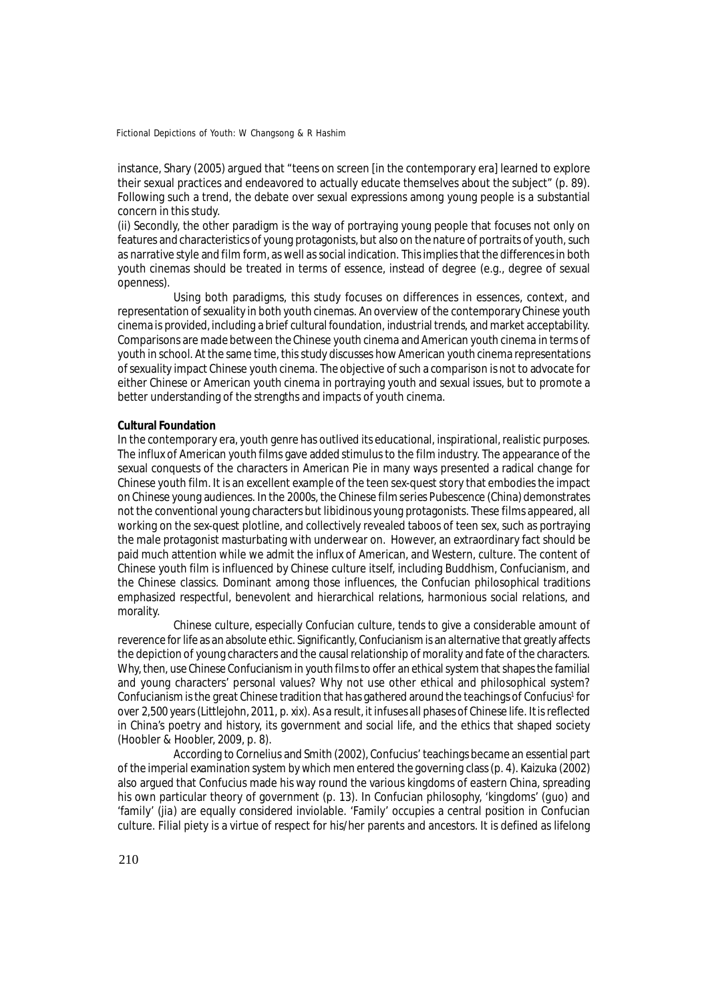instance, Shary (2005) argued that "teens on screen [in the contemporary era] learned to explore their sexual practices and endeavored to actually educate themselves about the subject" (p. 89). Following such a trend, the debate over sexual expressions among young people is a substantial concern in this study.

(ii) Secondly, the other paradigm is the way of portraying young people that focuses not only on features and characteristics of young protagonists, but also on the nature of portraits of youth, such as narrative style and film form, as well as social indication. This implies that the differences in both youth cinemas should be treated in terms of essence, instead of degree (e.g., degree of sexual openness).

Using both paradigms, this study focuses on differences in essences, context, and representation of sexuality in both youth cinemas. An overview of the contemporary Chinese youth cinema is provided, including a brief cultural foundation, industrial trends, and market acceptability. Comparisons are made between the Chinese youth cinema and American youth cinema in terms of youth in school. At the same time, this study discusses how American youth cinema representations of sexuality impact Chinese youth cinema. The objective of such a comparison is not to advocate for either Chinese or American youth cinema in portraying youth and sexual issues, but to promote a better understanding of the strengths and impacts of youth cinema.

# **Cultural Foundation**

In the contemporary era, youth genre has outlived its educational, inspirational, realistic purposes. The influx of American youth films gave added stimulus to the film industry. The appearance of the sexual conquests of the characters in *American Pie* in many ways presented a radical change for Chinese youth film. It is an excellent example of the teen sex-quest story that embodies the impact on Chinese young audiences. In the 2000s, the Chinese film series *Pubescence* (China) demonstrates not the conventional young characters but libidinous young protagonists. These films appeared, all working on the sex-quest plotline, and collectively revealed taboos of teen sex, such as portraying the male protagonist masturbating with underwear on. However, an extraordinary fact should be paid much attention while we admit the influx of American, and Western, culture. The content of Chinese youth film is influenced by Chinese culture itself, including Buddhism, Confucianism, and the Chinese classics. Dominant among those influences, the Confucian philosophical traditions emphasized respectful, benevolent and hierarchical relations, harmonious social relations, and morality.

Chinese culture, especially Confucian culture, tends to give a considerable amount of reverence for life as an absolute ethic. Significantly, Confucianism is an alternative that greatly affects the depiction of young characters and the causal relationship of morality and fate of the characters. Why, then, use Chinese Confucianism in youth films to offer an ethical system that shapes the familial and young characters' personal values? Why not use other ethical and philosophical system? Confucianism is the great Chinese tradition that has gathered around the teachings of Confucius<sup>1</sup> for over 2,500 years (Littlejohn, 2011, p. xix). As a result, it infuses all phases of Chinese life. It is reflected in China's poetry and history, its government and social life, and the ethics that shaped society (Hoobler & Hoobler, 2009, p. 8).

According to Cornelius and Smith (2002), Confucius' teachings became an essential part of the imperial examination system by which men entered the governing class (p. 4). Kaizuka (2002) also argued that Confucius made his way round the various kingdoms of eastern China, spreading his own particular theory of government (p. 13). In Confucian philosophy, 'kingdoms' (*guo*) and 'family' (*jia*) are equally considered inviolable. 'Family' occupies a central position in Confucian culture. Filial piety is a virtue of respect for his/her parents and ancestors. It is defined as lifelong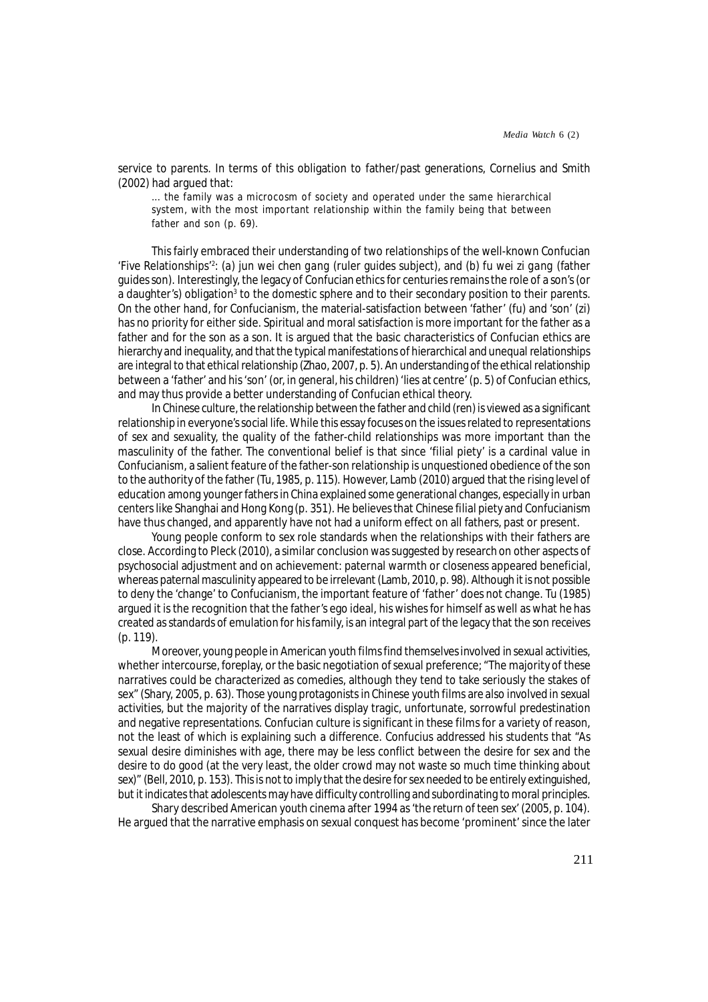service to parents. In terms of this obligation to father/past generations, Cornelius and Smith (2002) had argued that:

... the family was a microcosm of society and operated under the same hierarchical system, with the most important relationship within the family being that between father and son (p. 69).

This fairly embraced their understanding of two relationships of the well-known Confucian 'Five Relationships'<sup>2</sup> : (*a*) *jun wei chen gang* (ruler guides subject), and (*b*) *fu wei zi gang* (father guides son). Interestingly, the legacy of Confucian ethics for centuries remains the role of a son's (or a daughter's) obligation<sup>3</sup> to the domestic sphere and to their secondary position to their parents. On the other hand, for Confucianism, the material-satisfaction between 'father' (*fu*) and 'son' (*zi*) has no priority for either side. Spiritual and moral satisfaction is more important for the father as a father and for the son as a son. It is argued that the basic characteristics of Confucian ethics are hierarchy and inequality, and that the typical manifestations of hierarchical and unequal relationships are integral to that ethical relationship (Zhao, 2007, p. 5). An understanding of the ethical relationship between a '*father*' and his '*son*' (or, in general, his children) 'lies at centre' (p. 5) of Confucian ethics, and may thus provide a better understanding of Confucian ethical theory.

In Chinese culture, the relationship between the father and child (ren) is viewed as a significant relationship in everyone's social life. While this essay focuses on the issues related to representations of sex and sexuality, the quality of the father-child relationships was more important than the masculinity of the father. The conventional belief is that since 'filial piety' is a cardinal value in Confucianism, a salient feature of the father-son relationship is unquestioned obedience of the son to the authority of the father (Tu, 1985, p. 115). However, Lamb (2010) argued that the rising level of education among younger fathers in China explained some generational changes, especially in urban centers like Shanghai and Hong Kong (p. 351). He believes that Chinese filial piety and Confucianism have thus changed, and apparently have not had a uniform effect on all fathers, past or present.

Young people conform to sex role standards when the relationships with their fathers are close. According to Pleck (2010), a similar conclusion was suggested by research on other aspects of psychosocial adjustment and on achievement: paternal warmth or closeness appeared beneficial, whereas paternal masculinity appeared to be irrelevant (Lamb, 2010, p. 98). Although it is not possible to deny the 'change' to Confucianism, the important feature of 'father' does not change. Tu (1985) argued it is the recognition that the father's ego ideal, his wishes for himself as well as what he has created as standards of emulation for his family, is an integral part of the legacy that the son receives (p. 119).

Moreover, young people in American youth films find themselves involved in sexual activities, whether intercourse, foreplay, or the basic negotiation of sexual preference; "The majority of these narratives could be characterized as comedies, although they tend to take seriously the stakes of sex" (Shary, 2005, p. 63). Those young protagonists in Chinese youth films are also involved in sexual activities, but the majority of the narratives display tragic, unfortunate, sorrowful predestination and negative representations. Confucian culture is significant in these films for a variety of reason, not the least of which is explaining such a difference. Confucius addressed his students that "As sexual desire diminishes with age, there may be less conflict between the desire for sex and the desire to do good (at the very least, the older crowd may not waste so much time thinking about sex)" (Bell, 2010, p. 153). This is not to imply that the desire for sex needed to be entirely extinguished, but it indicates that adolescents may have difficulty controlling and subordinating to moral principles.

Shary described American youth cinema after 1994 as '*the return of teen sex*' (2005, p. 104). He argued that the narrative emphasis on sexual conquest has become 'prominent' since the later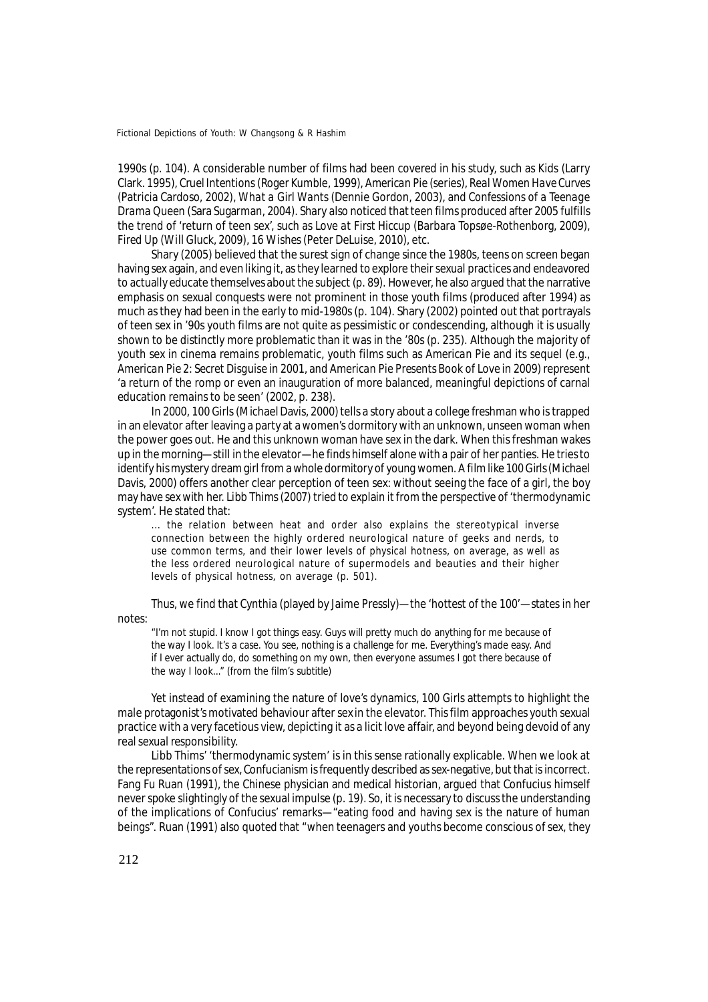1990s (p. 104). A considerable number of films had been covered in his study, such as *Kids* (Larry Clark. 1995), *Cruel Intentions* (Roger Kumble, 1999), *American Pie* (series), *Real Women Have Curves* (Patricia Cardoso, 2002), *What a Girl Wants* (Dennie Gordon, 2003), and *Confessions of a Teenage Drama Queen* (Sara Sugarman, 2004). Shary also noticed that teen films produced after 2005 fulfills the trend of 'return of teen sex', such as *Love at First Hiccup* (Barbara Topsøe-Rothenborg, 2009), *Fired Up* (Will Gluck, 2009), *16 Wishes* (Peter DeLuise, 2010), etc.

Shary (2005) believed that the surest sign of change since the 1980s, teens on screen began having sex again, and even liking it, as they learned to explore their sexual practices and endeavored to actually educate themselves about the subject (p. 89). However, he also argued that the narrative emphasis on sexual conquests were not prominent in those youth films (produced after 1994) as much as they had been in the early to mid-1980s (p. 104). Shary (2002) pointed out that portrayals of teen sex in '90s youth films are not quite as pessimistic or condescending, although it is usually shown to be distinctly more problematic than it was in the '80s (p. 235). Although the majority of youth sex in cinema remains problematic, youth films such as *American Pie* and its sequel (e.g., *American Pie 2: Secret Disguise* in 2001, and *American Pie Presents Book of Love* in 2009) represent 'a return of the romp or even an inauguration of more balanced, meaningful depictions of carnal education remains to be seen' (2002, p. 238).

In 2000, *100 Girls* (Michael Davis, 2000) tells a story about a college freshman who is trapped in an elevator after leaving a party at a women's dormitory with an unknown, unseen woman when the power goes out. He and this unknown woman have sex in the dark. When this freshman wakes up in the morning—still in the elevator—he finds himself alone with a pair of her panties. He tries to identify his mystery dream girl from a whole dormitory of young women. A film like *100 Girls* (Michael Davis, 2000) offers another clear perception of teen sex: without seeing the face of a girl, the boy may have sex with her. Libb Thims (2007) tried to explain it from the perspective of 'thermodynamic system'. He stated that:

... the relation between heat and order also explains the stereotypical inverse connection between the highly ordered neurological nature of geeks and nerds, to use common terms, and their lower levels of physical hotness, on average, as well as the less ordered neurological nature of supermodels and beauties and their higher levels of physical hotness, on average (p. 501).

Thus, we find that Cynthia (played by Jaime Pressly)—the 'hottest of the 100'—states in her notes:

"I'm not stupid. I know I got things easy. Guys will pretty much do anything for me because of the way I look. It's a case. You see, nothing is a challenge for me. Everything's made easy. And if I ever actually do, do something on my own, then everyone assumes I got there because of the way I look..." (from the film's subtitle)

Yet instead of examining the nature of love's dynamics, *100 Girls* attempts to highlight the male protagonist's motivated behaviour after sex in the elevator. This film approaches youth sexual practice with a very facetious view, depicting it as a licit love affair, and beyond being devoid of any real sexual responsibility.

Libb Thims' 'thermodynamic system' is in this sense rationally explicable. When we look at the representations of sex, Confucianism is frequently described as sex-negative, but that is incorrect. Fang Fu Ruan (1991), the Chinese physician and medical historian, argued that Confucius himself never spoke slightingly of the sexual impulse (p. 19). So, it is necessary to discuss the understanding of the implications of Confucius' remarks—"eating food and having sex is the nature of human beings". Ruan (1991) also quoted that "when teenagers and youths become conscious of sex, they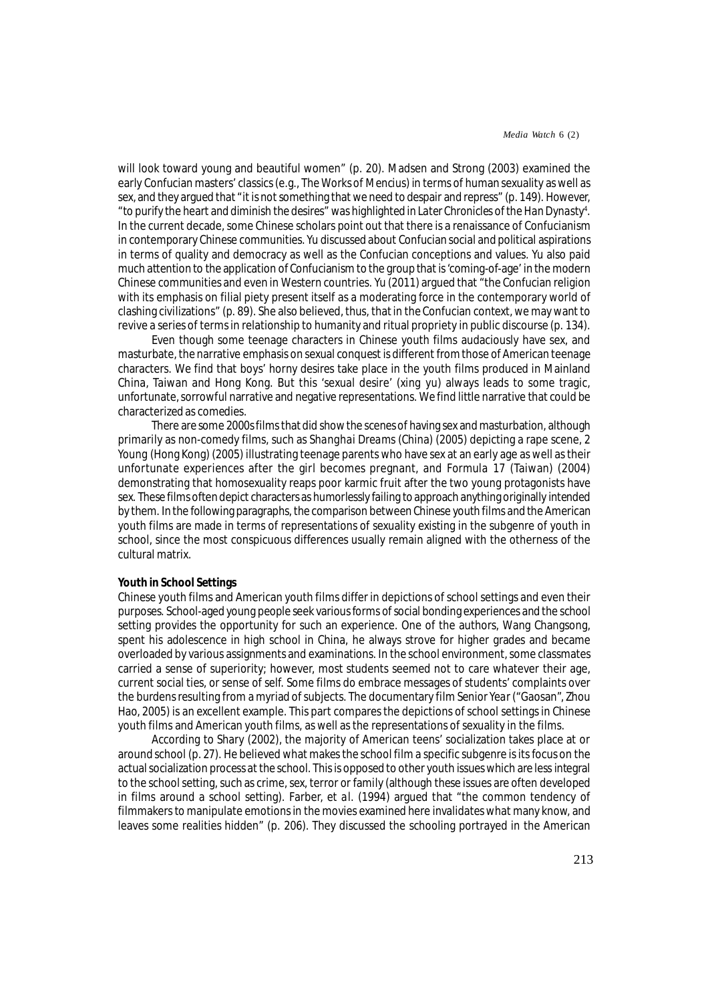will look toward young and beautiful women" (p. 20). Madsen and Strong (2003) examined the early Confucian masters' classics (e.g., *The Works of Mencius*) in terms of human sexuality as well as sex, and they argued that "it is not something that we need to despair and repress" (p. 149). However, "to purify the heart and diminish the desires" was highlighted in *Later Chronicles of the Han Dynasty*<sup>4</sup> . In the current decade, some Chinese scholars point out that there is a renaissance of Confucianism in contemporary Chinese communities. Yu discussed about Confucian social and political aspirations in terms of quality and democracy as well as the Confucian conceptions and values. Yu also paid much attention to the application of Confucianism to the group that is 'coming-of-age' in the modern Chinese communities and even in Western countries. Yu (2011) argued that "the Confucian religion with its emphasis on filial piety present itself as a moderating force in the contemporary world of clashing civilizations" (p. 89). She also believed, thus, that in the Confucian context, we may want to revive a series of terms in relationship to humanity and ritual propriety in public discourse (p. 134).

Even though some teenage characters in Chinese youth films audaciously have sex, and masturbate, the narrative emphasis on sexual conquest is different from those of American teenage characters. We find that boys' horny desires take place in the youth films produced in Mainland China, Taiwan and Hong Kong. But this 'sexual desire' (*xing yu*) always leads to some tragic, unfortunate, sorrowful narrative and negative representations. We find little narrative that could be characterized as comedies.

There are some 2000s films that did show the scenes of having sex and masturbation, although primarily as non-comedy films, such as *Shanghai Dreams* (China) (2005) depicting a rape scene, *2 Young* (Hong Kong) (2005) illustrating teenage parents who have sex at an early age as well as their unfortunate experiences after the girl becomes pregnant, and *Formula 17* (Taiwan) (2004) demonstrating that homosexuality reaps poor karmic fruit after the two young protagonists have sex. These films often depict characters as humorlessly failing to approach anything originally intended by them. In the following paragraphs, the comparison between Chinese youth films and the American youth films are made in terms of representations of sexuality existing in the subgenre of youth in school, since the most conspicuous differences usually remain aligned with the otherness of the cultural matrix.

# **Youth in School Settings**

Chinese youth films and American youth films differ in depictions of school settings and even their purposes. School-aged young people seek various forms of social bonding experiences and the school setting provides the opportunity for such an experience. One of the authors, Wang Changsong, spent his adolescence in high school in China, he always strove for higher grades and became overloaded by various assignments and examinations. In the school environment, some classmates carried a sense of superiority; however, most students seemed not to care whatever their age, current social ties, or sense of self. Some films do embrace messages of students' complaints over the burdens resulting from a myriad of subjects. The documentary film *Senior Year* ("Gaosan", Zhou Hao, 2005) is an excellent example. This part compares the depictions of school settings in Chinese youth films and American youth films, as well as the representations of sexuality in the films.

According to Shary (2002), the majority of American teens' socialization takes place at or around school (p. 27). He believed what makes the school film a specific subgenre is its focus on the actual socialization process at the school. This is opposed to other youth issues which are less integral to the school setting, such as crime, sex, terror or family (although these issues are often developed in films around a school setting). Farber, *et al.* (1994) argued that "the common tendency of filmmakers to manipulate emotions in the movies examined here invalidates what many know, and leaves some realities hidden" (p. 206). They discussed the schooling portrayed in the American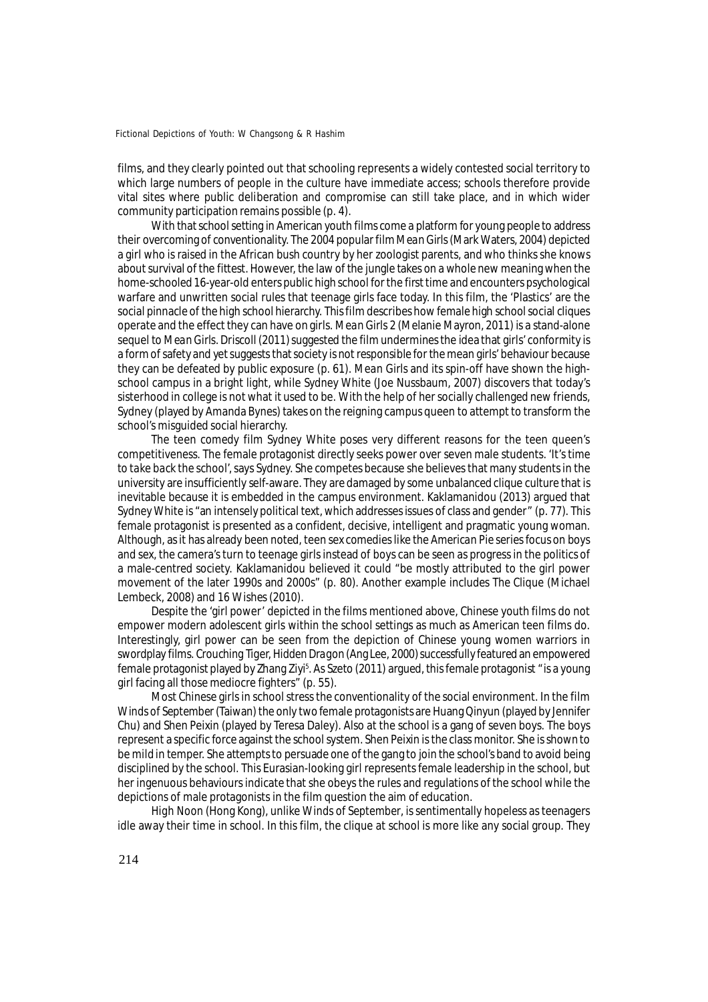films, and they clearly pointed out that schooling represents a widely contested social territory to which large numbers of people in the culture have immediate access; schools therefore provide vital sites where public deliberation and compromise can still take place, and in which wider community participation remains possible (p. 4).

With that school setting in American youth films come a platform for young people to address their overcoming of conventionality. The 2004 popular film *Mean Girls* (Mark Waters, 2004) depicted a girl who is raised in the African bush country by her zoologist parents, and who thinks she knows about survival of the fittest. However, the law of the jungle takes on a whole new meaning when the home-schooled 16-year-old enters public high school for the first time and encounters psychological warfare and unwritten social rules that teenage girls face today. In this film, the 'Plastics' are the social pinnacle of the high school hierarchy. This film describes how female high school social cliques operate and the effect they can have on girls. *Mean Girls 2* (Melanie Mayron, 2011) is a stand-alone sequel to *Mean Girls*. Driscoll (2011) suggested the film undermines the idea that girls' conformity is a form of safety and yet suggests that society is not responsible for the mean girls' behaviour because they can be defeated by public exposure (p. 61). *Mean Girls* and its spin-off have shown the highschool campus in a bright light, while *Sydney White* (Joe Nussbaum, 2007) discovers that today's sisterhood in college is not what it used to be. With the help of her socially challenged new friends, Sydney (played by Amanda Bynes) takes on the reigning campus queen to attempt to transform the school's misguided social hierarchy.

The teen comedy film *Sydney White* poses very different reasons for the teen queen's competitiveness. The female protagonist directly seeks power over seven male students. '*It's time to take back the school*', says Sydney. She competes because she believes that many students in the university are insufficiently self-aware. They are damaged by some unbalanced clique culture that is inevitable because it is embedded in the campus environment. Kaklamanidou (2013) argued that *Sydney White* is "an intensely political text, which addresses issues of class and gender" (p. 77). This female protagonist is presented as a confident, decisive, intelligent and pragmatic young woman. Although, as it has already been noted, teen sex comedies like the *American Pie* series focus on boys and sex, the camera's turn to teenage girls instead of boys can be seen as progress in the politics of a male-centred society. Kaklamanidou believed it could "be mostly attributed to the girl power movement of the later 1990s and 2000s" (p. 80). Another example includes *The Clique* (Michael Lembeck, 2008) and *16 Wishes* (2010).

Despite the 'girl power' depicted in the films mentioned above, Chinese youth films do not empower modern adolescent girls within the school settings as much as American teen films do. Interestingly, girl power can be seen from the depiction of Chinese young women warriors in swordplay films. *Crouching Tiger, Hidden Dragon* (Ang Lee, 2000) successfully featured an empowered female protagonist played by Zhang Ziyi<sup>5</sup>. As Szeto (2011) argued, this female protagonist " is a young girl facing all those mediocre fighters" (p. 55).

Most Chinese girls in school stress the conventionality of the social environment. In the film *Winds of September* (Taiwan) the only two female protagonists are Huang Qinyun (played by Jennifer Chu) and Shen Peixin (played by Teresa Daley). Also at the school is a gang of seven boys. The boys represent a specific force against the school system. Shen Peixin is the class monitor. She is shown to be mild in temper. She attempts to persuade one of the gang to join the school's band to avoid being disciplined by the school. This Eurasian-looking girl represents female leadership in the school, but her ingenuous behaviours indicate that she obeys the rules and regulations of the school while the depictions of male protagonists in the film question the aim of education.

*High Noon* (Hong Kong), unlike *Winds of September*, is sentimentally hopeless as teenagers idle away their time in school. In this film, the clique at school is more like any social group. They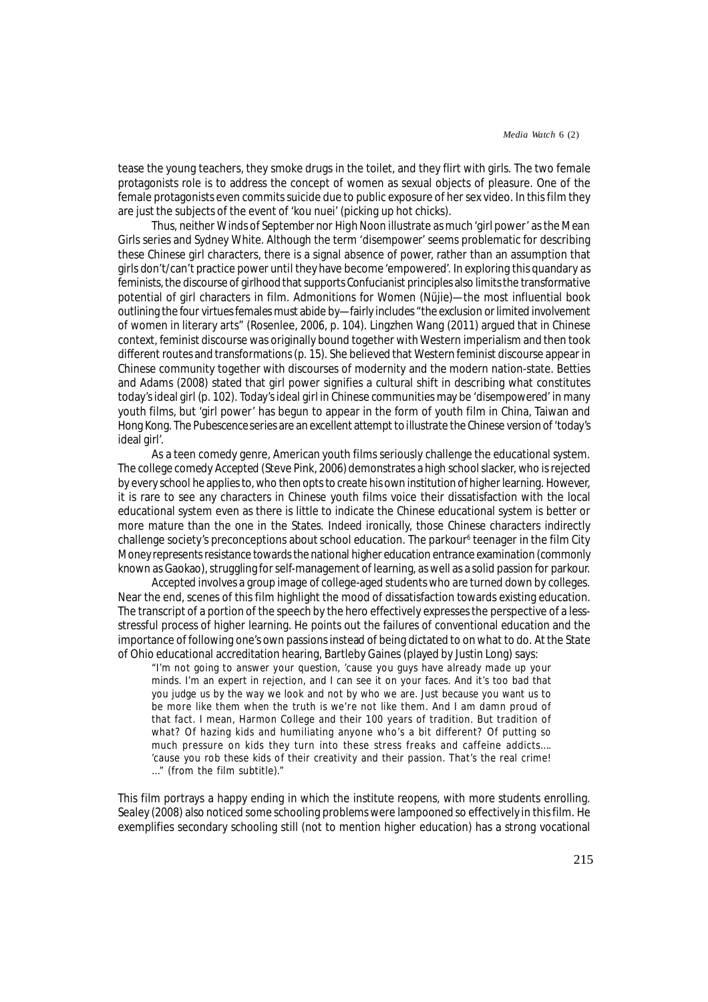tease the young teachers, they smoke drugs in the toilet, and they flirt with girls. The two female protagonists role is to address the concept of women as sexual objects of pleasure. One of the female protagonists even commits suicide due to public exposure of her sex video. In this film they are just the subjects of the event of '*kou nuei*' (picking up hot chicks).

Thus, neither *Winds of September* nor *High Noon* illustrate as much 'girl power' as the *Mean Girls* series and *Sydney White*. Although the term '*disempower*' seems problematic for describing these Chinese girl characters, there is a signal absence of power, rather than an assumption that girls don't/can't practice power until they have become 'empowered'. In exploring this quandary as feminists, the discourse of girlhood that supports Confucianist principles also limits the transformative potential of girl characters in film. Admonitions for Women (*Nüjie*)—the most influential book outlining the four virtues females must abide by—fairly includes "the exclusion or limited involvement of women in literary arts" (Rosenlee, 2006, p. 104). Lingzhen Wang (2011) argued that in Chinese context, feminist discourse was originally bound together with Western imperialism and then took different routes and transformations (p. 15). She believed that Western feminist discourse appear in Chinese community together with discourses of modernity and the modern nation-state. Betties and Adams (2008) stated that girl power signifies a cultural shift in describing what constitutes today's ideal girl (p. 102). Today's ideal girl in Chinese communities may be '*disempowered*' in many youth films, but 'girl power' has begun to appear in the form of youth film in China, Taiwan and Hong Kong. The *Pubescence* series are an excellent attempt to illustrate the Chinese version of 'today's ideal girl'.

As a teen comedy genre, American youth films seriously challenge the educational system. The college comedy *Accepted* (Steve Pink, 2006) demonstrates a high school slacker, who is rejected by every school he applies to, who then opts to create his own institution of higher learning. However, it is rare to see any characters in Chinese youth films voice their dissatisfaction with the local educational system even as there is little to indicate the Chinese educational system is better or more mature than the one in the States. Indeed ironically, those Chinese characters indirectly challenge society's preconceptions about school education. The parkour<sup>6</sup> teenager in the film *City Money* represents resistance towards the national higher education entrance examination (commonly known as Gaokao), struggling for self-management of learning, as well as a solid passion for parkour.

*Accepted* involves a group image of college-aged students who are turned down by colleges. Near the end, scenes of this film highlight the mood of dissatisfaction towards existing education. The transcript of a portion of the speech by the hero effectively expresses the perspective of a lessstressful process of higher learning. He points out the failures of conventional education and the importance of following one's own passions instead of being dictated to on what to do. At the State of Ohio educational accreditation hearing, Bartleby Gaines (played by Justin Long) says:

"I'm not going to answer your question, 'cause you guys have already made up your minds. I'm an expert in rejection, and I can see it on your faces. And it's too bad that you judge us by the way we look and not by who we are. Just because you want us to be more like them when the truth is we're not like them. And I am damn proud of that fact. I mean, Harmon College and their 100 years of tradition. But tradition of what? Of hazing kids and humiliating anyone who's a bit different? Of putting so much pressure on kids they turn into these stress freaks and caffeine addicts…. 'cause you rob these kids of their creativity and their passion. That's the real crime! …" (from the film subtitle)."

This film portrays a happy ending in which the institute reopens, with more students enrolling. Sealey (2008) also noticed some schooling problems were lampooned so effectively in this film. He exemplifies secondary schooling still (not to mention higher education) has a strong vocational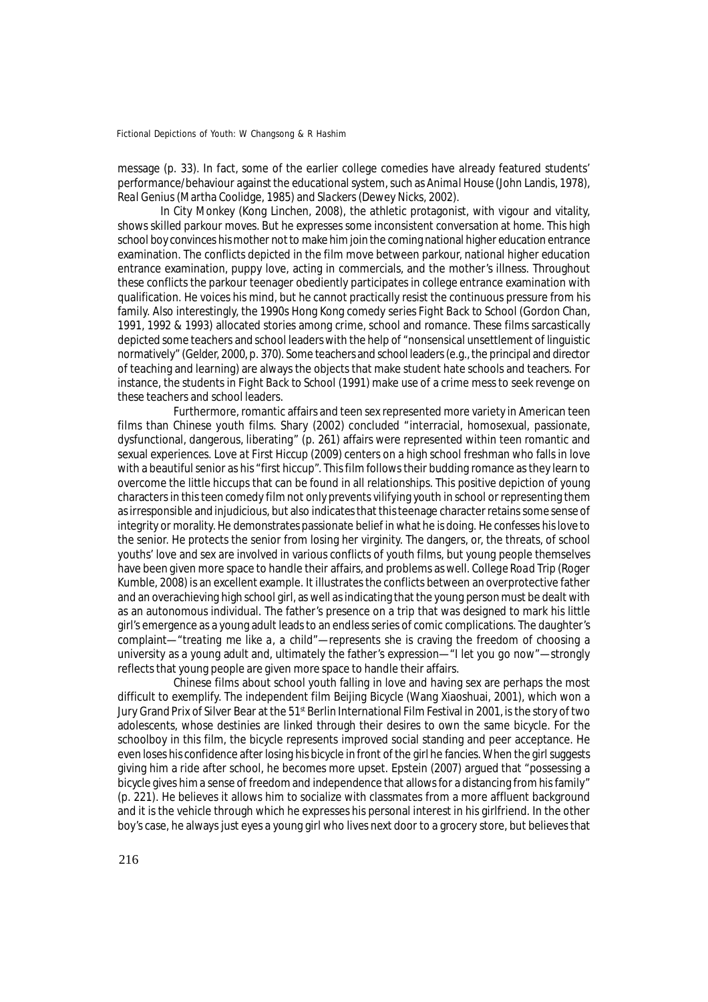message (p. 33). In fact, some of the earlier college comedies have already featured students' performance/behaviour against the educational system, such as *Animal House* (John Landis, 1978), *Real Genius* (Martha Coolidge, 1985) and *Slackers* (Dewey Nicks, 2002).

In *City Monkey* (Kong Linchen, 2008), the athletic protagonist, with vigour and vitality, shows skilled parkour moves. But he expresses some inconsistent conversation at home. This high school boy convinces his mother not to make him join the coming national higher education entrance examination. The conflicts depicted in the film move between parkour, national higher education entrance examination, puppy love, acting in commercials, and the mother's illness. Throughout these conflicts the parkour teenager obediently participates in college entrance examination with qualification. He voices his mind, but he cannot practically resist the continuous pressure from his family. Also interestingly, the 1990s Hong Kong comedy series *Fight Back to School* (Gordon Chan, 1991, 1992 & 1993) allocated stories among crime, school and romance. These films sarcastically depicted some teachers and school leaders with the help of "nonsensical unsettlement of linguistic normatively" (Gelder, 2000, p. 370). Some teachers and school leaders (e.g., the principal and director of teaching and learning) are always the objects that make student hate schools and teachers. For instance, the students in *Fight Back to School* (1991) make use of a crime mess to seek revenge on these teachers and school leaders.

Furthermore, romantic affairs and teen sex represented more variety in American teen films than Chinese youth films. Shary (2002) concluded "interracial, homosexual, passionate, dysfunctional, dangerous, liberating" (p. 261) affairs were represented within teen romantic and sexual experiences. *Love at First Hiccup* (2009) centers on a high school freshman who falls in love with a beautiful senior as his "first hiccup". This film follows their budding romance as they learn to overcome the little hiccups that can be found in all relationships. This positive depiction of young characters in this teen comedy film not only prevents vilifying youth in school or representing them as irresponsible and injudicious, but also indicates that this teenage character retains some sense of integrity or morality. He demonstrates passionate belief in what he is doing. He confesses his love to the senior. He protects the senior from losing her virginity. The dangers, or, the threats, of school youths' love and sex are involved in various conflicts of youth films, but young people themselves have been given more space to handle their affairs, and problems as well. *College Road Trip* (Roger Kumble, 2008) is an excellent example. It illustrates the conflicts between an overprotective father and an overachieving high school girl, as well as indicating that the young person must be dealt with as an autonomous individual. The father's presence on a trip that was designed to mark his little girl's emergence as a young adult leads to an endless series of comic complications. The daughter's complaint—"*treating me like a, a child*"—represents she is craving the freedom of choosing a university as a young adult and, ultimately the father's expression—"*I let you go now*"—strongly reflects that young people are given more space to handle their affairs.

Chinese films about school youth falling in love and having sex are perhaps the most difficult to exemplify. The independent film *Beijing Bicycle* (Wang Xiaoshuai, 2001), which won a Jury Grand Prix of Silver Bear at the 51<sup>st</sup> Berlin International Film Festival in 2001, is the story of two adolescents, whose destinies are linked through their desires to own the same bicycle. For the schoolboy in this film, the bicycle represents improved social standing and peer acceptance. He even loses his confidence after losing his bicycle in front of the girl he fancies. When the girl suggests giving him a ride after school, he becomes more upset. Epstein (2007) argued that "possessing a bicycle gives him a sense of freedom and independence that allows for a distancing from his family" (p. 221). He believes it allows him to socialize with classmates from a more affluent background and it is the vehicle through which he expresses his personal interest in his girlfriend. In the other boy's case, he always just eyes a young girl who lives next door to a grocery store, but believes that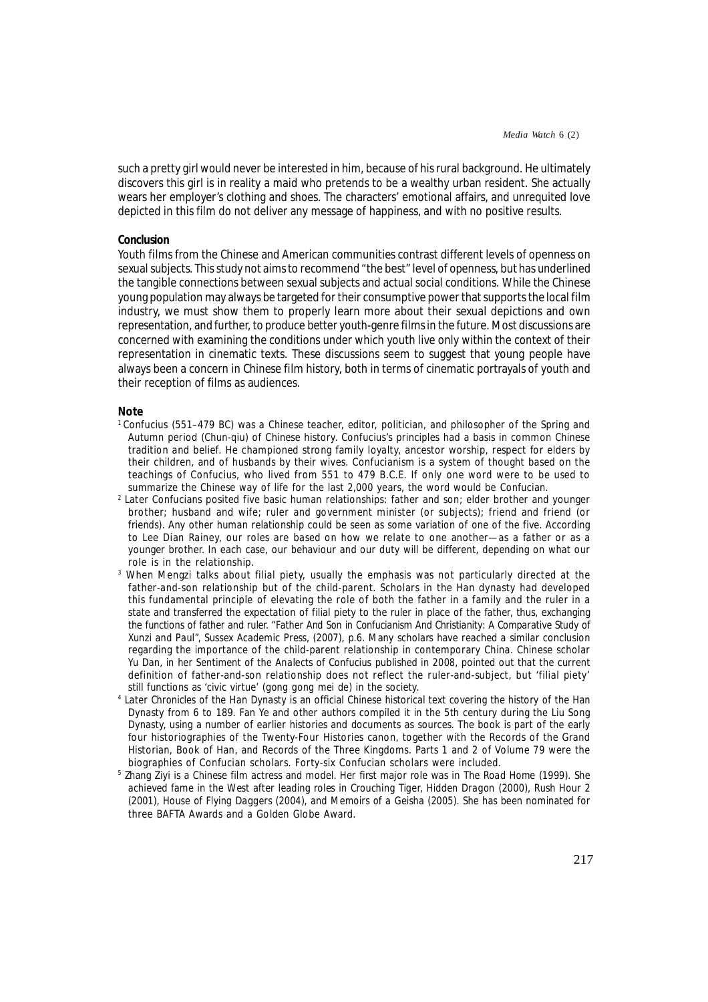such a pretty girl would never be interested in him, because of his rural background. He ultimately discovers this girl is in reality a maid who pretends to be a wealthy urban resident. She actually wears her employer's clothing and shoes. The characters' emotional affairs, and unrequited love depicted in this film do not deliver any message of happiness, and with no positive results.

### **Conclusion**

Youth films from the Chinese and American communities contrast different levels of openness on sexual subjects. This study not aims to recommend "the best" level of openness, but has underlined the tangible connections between sexual subjects and actual social conditions. While the Chinese young population may always be targeted for their consumptive power that supports the local film industry, we must show them to properly learn more about their sexual depictions and own representation, and further, to produce better youth-genre films in the future. Most discussions are concerned with examining the conditions under which youth live only within the context of their representation in cinematic texts. These discussions seem to suggest that young people have always been a concern in Chinese film history, both in terms of cinematic portrayals of youth and their reception of films as audiences.

# **Note**

- <sup>1</sup>Confucius (551–479 BC) was a Chinese teacher, editor, politician, and philosopher of the Spring and Autumn period (Chun-qiu) of Chinese history. Confucius's principles had a basis in common Chinese tradition and belief. He championed strong family loyalty, ancestor worship, respect for elders by their children, and of husbands by their wives. Confucianism is a system of thought based on the teachings of Confucius, who lived from 551 to 479 B.C.E. If only one word were to be used to summarize the Chinese way of life for the last 2,000 years, the word would be Confucian.
- 2 Later Confucians posited five basic human relationships: father and son; elder brother and younger brother; husband and wife; ruler and government minister (or subjects); friend and friend (or friends). Any other human relationship could be seen as some variation of one of the five. According to Lee Dian Rainey, our roles are based on how we relate to one another—as a father or as a younger brother. In each case, our behaviour and our duty will be different, depending on what our role is in the relationship.
- 3 When Mengzi talks about filial piety, usually the emphasis was not particularly directed at the father-and-son relationship but of the child-parent. Scholars in the Han dynasty had developed this fundamental principle of elevating the role of both the father in a family and the ruler in a state and transferred the expectation of filial piety to the ruler in place of the father, thus, exchanging the functions of father and ruler. "*Father And Son in Confucianism And Christianity: A Comparative Study of Xunzi and Paul*", Sussex Academic Press, (2007), p.6. Many scholars have reached a similar conclusion regarding the importance of the child-parent relationship in contemporary China. Chinese scholar Yu Dan, in her *Sentiment of the Analects of Confucius* published in 2008, pointed out that the current definition of father-and-son relationship does not reflect the ruler-and-subject, but 'filial piety' still functions as 'civic virtue' (*gong gong mei de*) in the society.
- 4 *Later Chronicles of the Han Dynasty* is an official Chinese historical text covering the history of the Han Dynasty from 6 to 189. Fan Ye and other authors compiled it in the 5th century during the Liu Song Dynasty, using a number of earlier histories and documents as sources. The book is part of the early four historiographies of the Twenty-Four Histories canon, together with the Records of the Grand Historian, Book of Han, and Records of the Three Kingdoms. Parts 1 and 2 of Volume 79 were the biographies of Confucian scholars. Forty-six Confucian scholars were included.
- 5 Zhang Ziyi is a Chinese film actress and model. Her first major role was in *The Road Home* (1999). She achieved fame in the West after leading roles in *Crouching Tiger, Hidden Dragon* (2000), *Rush Hour 2* (2001), *House of Flying Daggers* (2004), and *Memoirs of a Geisha* (2005). She has been nominated for three BAFTA Awards and a Golden Globe Award.